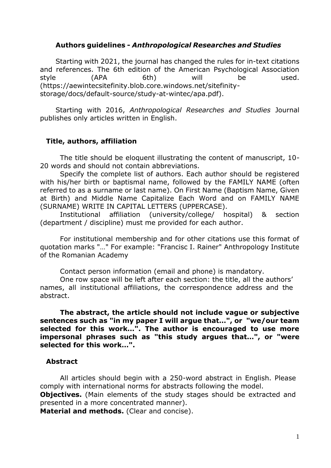### **Authors guidelines -** *Anthropological Researches and Studies*

Starting with 2021, the journal has changed the rules for in-text citations and references. The 6th edition of the American Psychological Association style (APA 6th) will be used. (https://aewintecsitefinity.blob.core.windows.net/sitefinitystorage/docs/default-source/study-at-wintec/apa.pdf).

Starting with 2016, *Anthropological Researches and Studies* Journal publishes only articles written in English.

### **Title, authors, affiliation**

The title should be eloquent illustrating the content of manuscript, 10- 20 words and should not contain abbreviations.

Specify the complete list of authors. Each author should be registered with his/her birth or baptismal name, followed by the FAMILY NAME (often referred to as a surname or last name). On First Name (Baptism Name, Given at Birth) and Middle Name Capitalize Each Word and on FAMILY NAME (SURNAME) WRITE IN CAPITAL LETTERS (UPPERCASE).

Institutional affiliation (university/college/ hospital) & section (department / discipline) must me provided for each author.

For institutional membership and for other citations use this format of quotation marks "…" For example: "Francisc I. Rainer" Anthropology Institute of the Romanian Academy

Contact person information (email and phone) is mandatory.

One row space will be left after each section: the title, all the authors' names, all institutional affiliations, the correspondence address and the abstract.

**The abstract, the article should not include vague or subjective sentences such as "in my paper I will argue that…", or "we/our team selected for this work…". The author is encouraged to use more impersonal phrases such as "this study argues that…", or "were selected for this work…".**

### **Abstract**

All articles should begin with a 250-word abstract in English. Please comply with international norms for abstracts following the model.

**Objectives.** (Main elements of the study stages should be extracted and presented in a more concentrated manner).

**Material and methods.** (Clear and concise).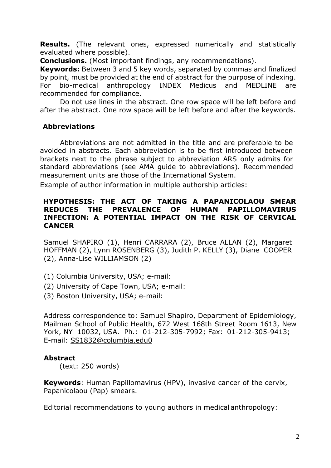**Results.** (The relevant ones, expressed numerically and statistically evaluated where possible).

**Conclusions.** (Most important findings, any recommendations).

**Keywords:** Between 3 and 5 key words, separated by commas and finalized by point, must be provided at the end of abstract for the purpose of indexing. For bio-medical anthropology INDEX Medicus and MEDLINE are recommended for compliance.

Do not use lines in the abstract. One row space will be left before and after the abstract. One row space will be left before and after the keywords.

#### **Abbreviations**

Abbreviations are not admitted in the title and are preferable to be avoided in abstracts. Each abbreviation is to be first introduced between brackets next to the phrase subject to abbreviation ARS only admits for standard abbreviations (see AMA guide to abbreviations). Recommended measurement units are those of the International System.

Example of author information in multiple authorship articles:

#### **HYPOTHESIS: THE ACT OF TAKING A PAPANICOLAOU SMEAR REDUCES THE PREVALENCE OF HUMAN PAPILLOMAVIRUS INFECTION: A POTENTIAL IMPACT ON THE RISK OF CERVICAL CANCER**

Samuel SHAPIRO (1), Henri CARRARA (2), Bruce ALLAN (2), Margaret HOFFMAN (2), Lynn ROSENBERG (3), Judith P. KELLY (3), Diane COOPER (2), Anna-Lise WILLIAMSON (2)

- (1) Columbia University, USA; e-mail:
- (2) University of Cape Town, USA; e-mail:
- (3) Boston University, USA; e-mail:

Address correspondence to: Samuel Shapiro, Department of Epidemiology, Mailman School of Public Health, 672 West 168th Street Room 1613, New York, NY 10032, USA. Ph.: 01-212-305-7992; Fax: 01-212-305-9413; E-mail: [SS1832@columbia.edu0](mailto:SS1832@columbia.edu)

#### **Abstract**

(text: 250 words)

**Keywords**: Human Papillomavirus (HPV), invasive cancer of the cervix, Papanicolaou (Pap) smears.

Editorial recommendations to young authors in medical anthropology: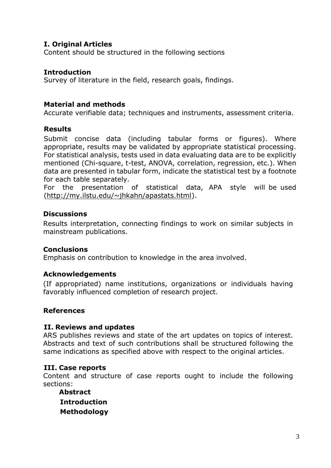# **I. Original Articles**

Content should be structured in the following sections

### **Introduction**

Survey of literature in the field, research goals, findings.

### **Material and methods**

Accurate verifiable data; techniques and instruments, assessment criteria.

### **Results**

Submit concise data (including tabular forms or figures). Where appropriate, results may be validated by appropriate statistical processing. For statistical analysis, tests used in data evaluating data are to be explicitly mentioned (Chi-square, t-test, ANOVA, correlation, regression, etc.). When data are presented in tabular form, indicate the statistical test by a footnote for each table separately.

For the presentation of statistical data, APA style will be used [\(http://my.ilstu.edu/~jhkahn/apastats.html\)](http://my.ilstu.edu/~jhkahn/apastats.html).

### **Discussions**

Results interpretation, connecting findings to work on similar subjects in mainstream publications.

### **Conclusions**

Emphasis on contribution to knowledge in the area involved.

### **Acknowledgements**

(If appropriated) name institutions, organizations or individuals having favorably influenced completion of research project.

### **References**

### **II. Reviews and updates**

ARS publishes reviews and state of the art updates on topics of interest. Abstracts and text of such contributions shall be structured following the same indications as specified above with respect to the original articles.

### **III. Case reports**

Content and structure of case reports ought to include the following sections:

 **Abstract Introduction Methodology**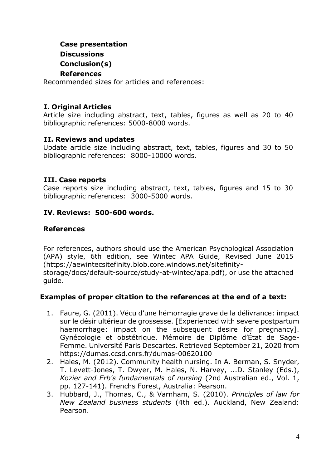# **Case presentation**

**Discussions**

# **Conclusion(s)**

### **References**

Recommended sizes for articles and references:

# **I. Original Articles**

Article size including abstract, text, tables, figures as well as 20 to 40 bibliographic references: 5000-8000 words.

## **II. Reviews and updates**

Update article size including abstract, text, tables, figures and 30 to 50 bibliographic references: 8000-10000 words.

## **III. Case reports**

Case reports size including abstract, text, tables, figures and 15 to 30 bibliographic references: 3000-5000 words.

### **IV. Reviews: 500-600 words.**

## **References**

For references, authors should use the American Psychological Association (APA) style, 6th edition, see Wintec APA Guide, Revised June 2015 [\(https://aewintecsitefinity.blob.core.windows.net/sitefinity](https://aewintecsitefinity.blob.core.windows.net/sitefinity-storage/docs/default-source/study-at-wintec/apa.pdf)[storage/docs/default-source/study-at-wintec/apa.pdf\)](https://aewintecsitefinity.blob.core.windows.net/sitefinity-storage/docs/default-source/study-at-wintec/apa.pdf), or use the attached guide.

## **Examples of proper citation to the references at the end of a text:**

- 1. Faure, G. (2011). Vécu d'une hémorragie grave de la délivrance: impact sur le désir ultérieur de grossesse. [Experienced with severe postpartum haemorrhage: impact on the subsequent desire for pregnancy]. Gynécologie et obstétrique. Mémoire de Diplôme d'État de Sage-Femme. Université Paris Descartes. Retrieved September 21, 2020 from https://dumas.ccsd.cnrs.fr/dumas-00620100
- 2. Hales, M. (2012). Community health nursing. In A. Berman, S. Snyder, T. Levett-Jones, T. Dwyer, M. Hales, N. Harvey, ...D. Stanley (Eds.), *Kozier and Erb's fundamentals of nursing* (2nd Australian ed., Vol. 1, pp. 127-141). Frenchs Forest, Australia: Pearson.
- 3. Hubbard, J., Thomas, C., & Varnham, S. (2010). *Principles of law for New Zealand business students* (4th ed.). Auckland, New Zealand: Pearson.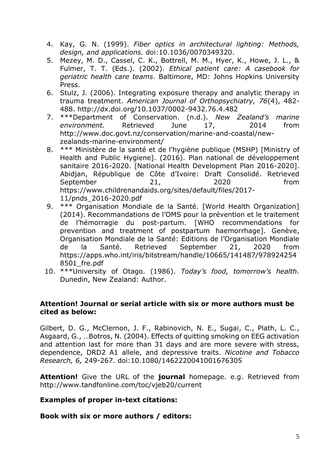- 4. Kay, G. N. (1999). *Fiber optics in architectural lighting: Methods, design, and applications.* doi:10.1036/0070349320.
- 5. Mezey, M. D., Cassel, C. K., Bottrell, M. M., Hyer, K., Howe, J. L., & Fulmer, T. T. (Eds.). (2002). *Ethical patient care: A casebook for geriatric health care teams*. Baltimore, MD: Johns Hopkins University Press.
- 6. Stulz, J. (2006). Integrating exposure therapy and analytic therapy in trauma treatment. *American Journal of Orthopsychiatry, 76*(4), 482- 488. http://dx.doi.org/10.1037/0002-9432.76.4.482
- 7. \*\*\*Department of Conservation. (n.d.). *New Zealand's marine environment.* Retrieved June 17, 2014 from http://www.doc.govt.nz/conservation/marine-and-coastal/newzealands-marine-environment/
- 8. \*\*\* Ministère de la santé et de l'hygiène publique (MSHP) [Ministry of Health and Public Hygiene]. (2016). Plan national de développement sanitaire 2016-2020. [National Health Development Plan 2016-2020]. Abidjan, République de Côte d'Ivoire: Draft Consolidé. Retrieved September 21, 2020 from https://www.childrenandaids.org/sites/default/files/2017- 11/pnds\_2016-2020.pdf
- 9. \*\*\* Organisation Mondiale de la Santé. [World Health Organization] (2014). Recommandations de l'OMS pour la prévention et le traitement de l'hémorragie du post-partum. [WHO recommendations for prevention and treatment of postpartum haemorrhage]. Genève, Organisation Mondiale de la Santé: Editions de l'Organisation Mondiale de la Santé. Retrieved September 21, 2020 from https://apps.who.int/iris/bitstream/handle/10665/141487/978924254 8501 fre.pdf
- 10. \*\*\*University of Otago. (1986). *Today's food, tomorrow's health.*  Dunedin, New Zealand: Author.

### **Attention! Journal or serial article with six or more authors must be cited as below:**

Gilbert, D. G., McClernon, J. F., Rabinovich, N. E., Sugai, C., Plath, L. C., Asgaard, G., …Botros, N. (2004). Effects of quitting smoking on EEG activation and attention last for more than 31 days and are more severe with stress, dependence, DRD2 A1 allele, and depressive traits. *Nicotine and Tobacco Research, 6,* 249-267. doi:10.1080/1462220041001676305

**Attention!** Give the URL of the **journal** homepage. e.g. Retrieved from http://www.tandfonline.com/toc/vjeb20/current

### **Examples of proper in-text citations:**

**Book with six or more authors / editors:**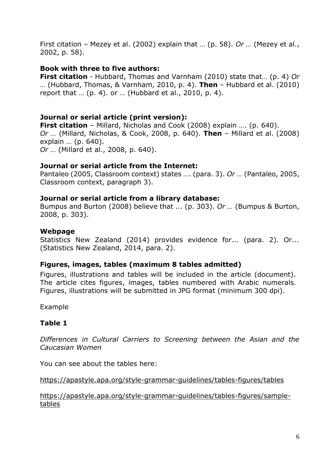First citation – Mezey et al. (2002) explain that … (p. 58). *Or …* (Mezey et al., 2002, p. 58).

### **Book with three to five authors:**

**First citation** - Hubbard, Thomas and Varnham (2010) state that… (p. 4) *Or …* (Hubbard, Thomas, & Varnham, 2010, p. 4). **Then** – Hubbard et al. (2010) report that … (p. 4). or … (Hubbard et al., 2010, p. 4).

### **Journal or serial article (print version):**

**First citation** – Millard, Nicholas and Cook (2008) explain …. (p. 640). *Or …* (Millard, Nicholas, & Cook, 2008, p. 640). **Then** – Millard et al. (2008) explain … (p. 640). *Or …* (Millard et al., 2008, p. 640).

### **Journal or serial article from the Internet:**

Pantaleo (2005, Classroom context) states …. (para. 3). *Or …* (Pantaleo, 2005, Classroom context, paragraph 3).

### **Journal or serial article from a library database:**

Bumpus and Burton (2008) believe that ... (p. 303). *Or …* (Bumpus & Burton, 2008, p. 303).

### **Webpage**

Statistics New Zealand (2014) provides evidence for... (para. 2). Or... (Statistics New Zealand, 2014, para. 2).

## **Figures, images, tables (maximum 8 tables admitted)**

Figures, illustrations and tables will be included in the article (document). The article cites figures, images, tables numbered with Arabic numerals. Figures, illustrations will be submitted in JPG format (minimum 300 dpi).

Example

## **Table 1**

*Differences in Cultural Carriers to Screening between the Asian and the Caucasian Women*

You can see about the tables here:

<https://apastyle.apa.org/style-grammar-guidelines/tables-figures/tables>

[https://apastyle.apa.org/style-grammar-guidelines/tables-figures/sample](https://apastyle.apa.org/style-grammar-guidelines/tables-figures/sample-tables)[tables](https://apastyle.apa.org/style-grammar-guidelines/tables-figures/sample-tables)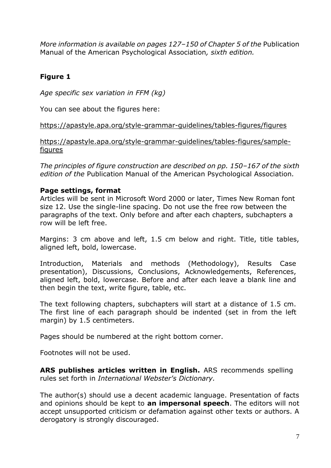*More information is available on pages 127–150 of Chapter 5 of the* Publication Manual of the American Psychological Association*, sixth edition.*

# **Figure 1**

*Age specific sex variation in FFM (kg)*

You can see about the figures here:

<https://apastyle.apa.org/style-grammar-guidelines/tables-figures/figures>

[https://apastyle.apa.org/style-grammar-guidelines/tables-figures/sample](https://apastyle.apa.org/style-grammar-guidelines/tables-figures/sample-figures)[figures](https://apastyle.apa.org/style-grammar-guidelines/tables-figures/sample-figures)

*The principles of figure construction are described on pp. 150–167 of the sixth edition of the* Publication Manual of the American Psychological Association*.*

## **Page settings, format**

Articles will be sent in Microsoft Word 2000 or later, Times New Roman font size 12. Use the single-line spacing. Do not use the free row between the paragraphs of the text. Only before and after each chapters, subchapters a row will be left free.

Margins: 3 cm above and left, 1.5 cm below and right. Title, title tables, aligned left, bold, lowercase.

Introduction, Materials and methods (Methodology), Results Case presentation), Discussions, Conclusions, Acknowledgements, References, aligned left, bold, lowercase. Before and after each leave a blank line and then begin the text, write figure, table, etc.

The text following chapters, subchapters will start at a distance of 1.5 cm. The first line of each paragraph should be indented (set in from the left margin) by 1.5 centimeters.

Pages should be numbered at the right bottom corner.

Footnotes will not be used.

**ARS publishes articles written in English.** ARS recommends spelling rules set forth in *International Webster's Dictionary.*

The author(s) should use a decent academic language. Presentation of facts and opinions should be kept to **an impersonal speech**. The editors will not accept unsupported criticism or defamation against other texts or authors. A derogatory is strongly discouraged.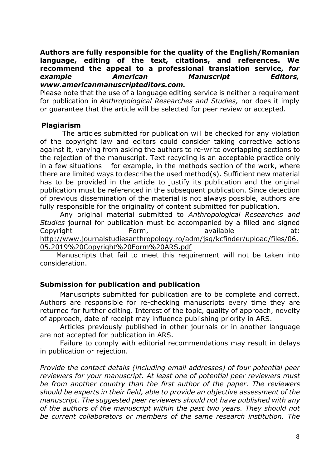#### **Authors are fully responsible for the quality of the English/Romanian language, editing of the text, citations, and references. We recommend the appeal to a professional translation service,** *for example American Manuscript Editors, www.americanmanuscripteditors.com.*

Please note that the use of a language editing service is neither a requirement for publication in *Anthropological Researches and Studies,* nor does it imply or guarantee that the article will be selected for peer review or accepted.

#### **Plagiarism**

The articles submitted for publication will be checked for any violation of the copyright law and editors could consider taking corrective actions against it, varying from asking the authors to re-write overlapping sections to the rejection of the manuscript. Text recycling is an acceptable practice only in a few situations – for example, in the methods section of the work, where there are limited ways to describe the used method(s). Sufficient new material has to be provided in the article to justify its publication and the original publication must be referenced in the subsequent publication. Since detection of previous dissemination of the material is not always possible, authors are fully responsible for the originality of content submitted for publication.

Any original material submitted to *Anthropological Researches and Studies* journal for publication must be accompanied by a filled and signed Copyright Form, available at: [http://www.journalstudiesanthropology.ro/adm/jsq/kcfinder/upload/files/06.](http://www.journalstudiesanthropology.ro/adm/jsq/kcfinder/upload/files/06.05.2019%20Copyright%20Form%20ARS.pdf) [05.2019%20Copyright%20Form%20ARS.pdf](http://www.journalstudiesanthropology.ro/adm/jsq/kcfinder/upload/files/06.05.2019%20Copyright%20Form%20ARS.pdf) 

Manuscripts that fail to meet this requirement will not be taken into consideration.

### **Submission for publication and publication**

Manuscripts submitted for publication are to be complete and correct. Authors are responsible for re-checking manuscripts every time they are returned for further editing. Interest of the topic, quality of approach, novelty of approach, date of receipt may influence publishing priority in ARS.

Articles previously published in other journals or in another language are not accepted for publication in ARS.

Failure to comply with editorial recommendations may result in delays in publication or rejection.

*Provide the contact details (including email addresses) of four potential peer reviewers for your manuscript. At least one of potential peer reviewers must be from another country than the first author of the paper. The reviewers should be experts in their field, able to provide an objective assessment of the manuscript. The suggested peer reviewers should not have published with any of the authors of the manuscript within the past two years. They should not be current collaborators or members of the same research institution. The*